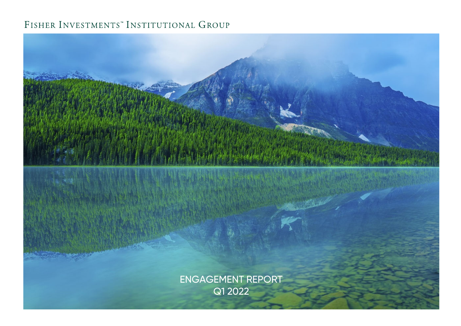# FISHER INVESTMENTS" INSTITUTIONAL GROUP

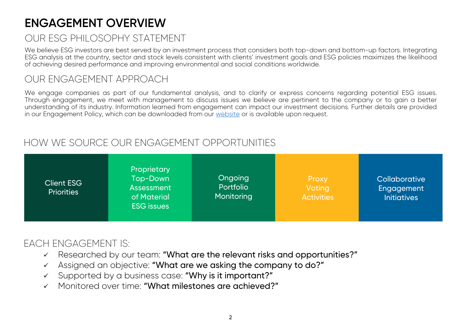# **ENGAGEMENT OVERVIEW**

# OUR ESG PHILOSOPHY STATEMENT

We believe ESG investors are best served by an investment process that considers both top-down and bottom-up factors. Integrating ESG analysis at the country, sector and stock levels consistent with clients' investment goals and ESG policies maximizes the likelihood of achieving desired performance and improving environmental and social conditions worldwide.

# OUR ENGAGEMENT APPROACH

We engage companies as part of our fundamental analysis, and to clarify or express concerns regarding potential ESG issues. Through engagement, we meet with management to discuss issues we believe are pertinent to the company or to gain <sup>a</sup> better understanding of its industry. Information learned from engagement can impact our investment decisions. Further details are provided in our Engagement Policy, which can be downloaded from our [website](https://institutional.fisherinvestments.com/en-us/process/esg) or is available upon request.

# HOW WE SOURCE OUR ENGAGEMENT OPPORTUNITIES



# EACH ENGAGEMENT IS:

- $\checkmark$  Researched by our team: "What are the relevant risks and opportunities?"
- $\checkmark$  Assigned an objective: "What are we asking the company to do?"
- $\checkmark$ Supported by a business case: "Why is it important?"
- Monitored over time: "What milestones are achieved?"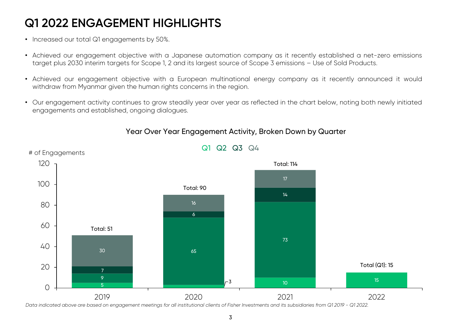# **Q1 2022 ENGAGEMENT HIGHLIGHTS**

- Increased our total Q1 engagements by 50%.
- Achieved our engagement objective with <sup>a</sup> Japanese automation company as it recently established <sup>a</sup> net-zero emissions target plus 2030 interim targets for Scope 1, 2 and its largest source of Scope 3 emissions - Use of Sold Products.
- Achieved our engagement objective with <sup>a</sup> European multinational energy company as it recently announced it would withdraw from Myanmar given the human rights concerns in the region.
- Our engagement activity continues to grow steadily year over year as reflected in the chart below, noting both newly initiated engagements and established, ongoing dialogues.



## Year Over Year Engagement Activity, Broken Down by Quarter

*Data indicated above are based on engagement meetings for all institutional clients of Fisher Investments and its subsidiaries from Q1 2019 - Q1 2022.*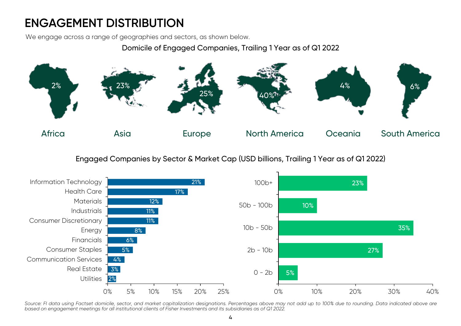# **ENGAGEMENT DISTRIBUTION**

We engage across a range of geographies and sectors, as shown below.

## Domicile of Engaged Companies, Trailing 1 Year as of Q1 2022



Engaged Companies by Sector & Market Cap (USD billions, Trailing 1 Year as of Q1 2022)



Source: FI data using Factset domicile, sector, and market capitalization designations. Percentages above may not add up to 100% due to rounding. Data indicated above are based on engagement meetings for all institutional clients of Fisher Investments and its subsidiaries as of Q12022.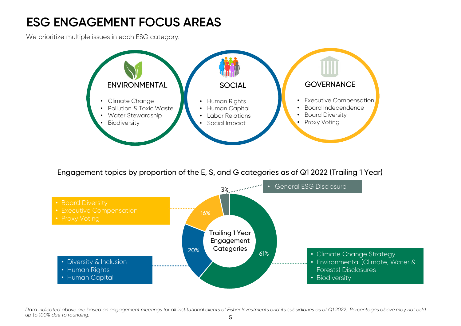# **ESG ENGAGEMENT FOCUS AREAS**

We prioritize multiple issues in each ESG category.



Engagement topics by proportion of the E, S, and G categories as of Q1 2022 (Trailing 1 Year)



*Data indicated above are based on engagement meetings for all institutional clients of Fisher Investments and its subsidiaries as of Q1 2022. Percentages above may not add up to 100% due to rounding.*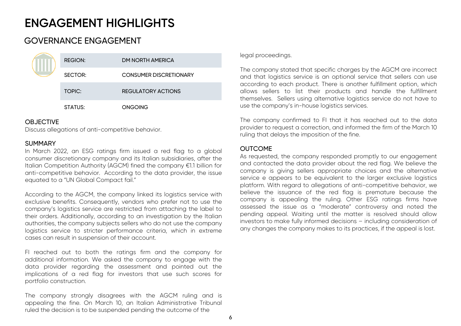# GOVERNANCE ENGAGEMENT

|  | <b>REGION:</b> | <b>DM NORTH AMERICA</b>       |
|--|----------------|-------------------------------|
|  | SECTOR:        | <b>CONSUMER DISCRETIONARY</b> |
|  | TOPIC:         | <b>REGULATORY ACTIONS</b>     |
|  | STATUS:        | <b>ONGOING</b>                |

### **OBJECTIVE**

Discuss allegations of anti-competitive behavior.

## SUMMARY

In March 2022, an ESG ratings firm issued <sup>a</sup> red flag to <sup>a</sup> global consumer discretionary company and its Italian subsidiaries, after the Italian Competition Authority (AGCM) fined the company €1.1 billion for anti-competitive behavior. According to the data provider, the issue equated to <sup>a</sup> "UN Global Compact fail."

According to the AGCM, the company linked its logistics service with exclusive benefits. Consequently, vendors who prefer not to use the company's logistics service are restricted from attaching the label to their orders. Additionally, according to an investigation by the Italian authorities, the company subjects sellers who do not use the company logistics service to stricter performance criteria, which in extreme cases can result in suspension of their account.

FI reached out to both the ratings firm and the company for additional information. We asked the company to engage with the data provider regarding the assessment and pointed out the implications of <sup>a</sup> red flag for investors that use such scores for portfolio construction.

The company strongly disagrees with the AGCM ruling and is appealing the fine. On March 10, an Italian Administrative Tribunal ruled the decision is to be suspended pending the outcome of the

legal proceedings.

The company stated that specific charges by the AGCM are incorrect and that logistics service is an optional service that sellers can use according to each product. There is another fulfillment option, which allows sellers to list their products and handle the fulfillment themselves. Sellers using alternative logistics service do not have to use the company's in-house logistics services.

The company confirmed to FI that it has reached out to the data provider to request <sup>a</sup> correction, and informed the firm of the March 10 ruling that delays the imposition of the fine.

## **OUTCOME**

As requested, the company responded promptly to our engagement and contacted the data provider about the red flag. We believe the company is giving sellers appropriate choices and the alternative service <sup>e</sup> appears to be equivalent to the larger exclusive logistics platform. With regard to allegations of anti-competitive behavior, we believe the issuance of the red flag is premature because the company is appealing the ruling. Other ESG ratings firms have assessed the issue as <sup>a</sup> "moderate" controversy and noted the pending appeal. Waiting until the matter is resolved should allow investors to make fully informed decisions – including consideration of any changes the company makes to its practices, if the appeal is lost.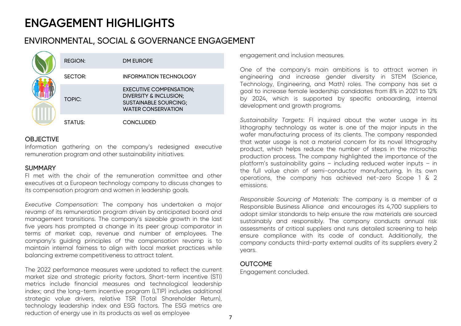## ENVIRONMENTAL, SOCIAL & GOVERNANCE ENGAGEMENT

|  | <b>REGION:</b> | DM EUROPE                                                                                                                        |
|--|----------------|----------------------------------------------------------------------------------------------------------------------------------|
|  | SECTOR:        | <b>INFORMATION TECHNOLOGY</b>                                                                                                    |
|  | <b>TOPIC:</b>  | <b>EXECUTIVE COMPENSATION;</b><br><b>DIVERSITY &amp; INCLUSION;</b><br><b>SUSTAINABLE SOURCING;</b><br><b>WATER CONSERVATION</b> |
|  | STATUS:        | <b>CONCLUDED</b>                                                                                                                 |

#### **OBJECTIVE**

Information gathering on the company's redesigned executive remuneration program and other sustainability initiatives.

#### **SUMMARY**

FI met with the chair of the remuneration committee and otherexecutives at <sup>a</sup> European technology company to discuss changes to its compensation program and women in leadership goals.

*Executive Compensation*: The company has undertaken <sup>a</sup> major revamp of its remuneration program driven by anticipated board and management transitions. The company's sizeable growth in the last five years has prompted <sup>a</sup> change in its peer group comparator in terms of market cap, revenue and number of employees. The company's guiding principles of the compensation revamp is to maintain internal fairness to align with local market practices while balancing extreme competitiveness to attract talent.

The 2022 performance measures were updated to reflect the current market size and strategic priority factors. Short-term incentive (STI) metrics include financial measures and technological leadership index; and the long-term incentive program (LTIP) includes additional strategic value drivers, relative TSR (Total Shareholder Return), technology leadership index and ESG factors. The ESG metrics are reduction of energy use in its products as well as employee

engagement and inclusion measures.

One of the company's main ambitions is to attract women in engineering and increase gender diversity in STEM (Science, Technology, Engineering, and Math) roles. The company has set <sup>a</sup> goal to increase female leadership candidates from 8% in 2021 to 12% by 2024, which is supported by specific onboarding, internal development and growth programs.

*Sustainability Targets*: FI inquired about the water usage in its lithography technology as water is one of the major inputs in the wafer manufacturing process of its clients. The company responded that water usage is not <sup>a</sup> material concern for its novel lithography product, which helps reduce the number of steps in the microchip production process. The company highlighted the importance of the platform's sustainability gains – including reduced water inputs – in the full value chain of semi-conductor manufacturing. In its own operations, the company has achieved net-zero Scope 1 & 2 emissions.

*Responsible Sourcing of Materials:* The company is <sup>a</sup> member of <sup>a</sup> Responsible Business Alliance and encourages its 4,700 suppliers to adopt similar standards to help ensure the raw materials are sourced sustainably and responsibly. The company conducts annual risk assessments of critical suppliers and runs detailed screening to help ensure compliance with its code of conduct. Additionally, the company conducts third-party external audits of its suppliers every 2 years.

### **OUTCOME**

Engagement concluded.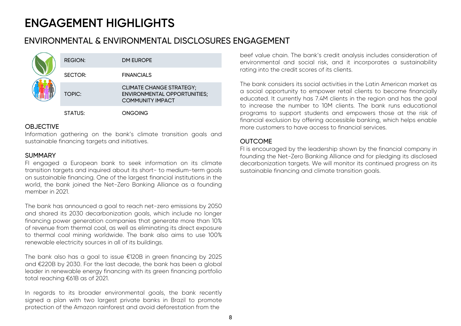# ENVIRONMENTAL & ENVIRONMENTAL DISCLOSURES ENGAGEMENT

|  | <b>REGION:</b> | DM EUROPE                                                                                         |
|--|----------------|---------------------------------------------------------------------------------------------------|
|  | SECTOR:        | <b>FINANCIALS</b>                                                                                 |
|  | TOPIC:         | <b>CLIMATE CHANGE STRATEGY;</b><br><b>ENVIRONMENTAL OPPORTUNITIES;</b><br><b>COMMUNITY IMPACT</b> |
|  | <b>STATUS:</b> | ONGOING                                                                                           |

#### OBJECTIVE

Information gathering on the bank's climate transition goals and sustainable financing targets and initiatives.

### **SUMMARY**

FI engaged <sup>a</sup> European bank to seek information on its climate transition targets and inquired about its short- to medium-term goals on sustainable financing. One of the largest financial institutions in the world, the bank joined the Net-Zero Banking Alliance as <sup>a</sup> founding member in 2021.

The bank has announced <sup>a</sup> goal to reach net-zero emissions by 2050 and shared its 2030 decarbonization goals, which include no longer financing power generation companies that generate more than 10% of revenue from thermal coal, as well as eliminating its direct exposure to thermal coal mining worldwide. The bank also aims to use 100% renewable electricity sources in all of its buildings.

The bank also has <sup>a</sup> goal to issue €120B in green financing by 2025 and €220B by 2030. For the last decade, the bank has been <sup>a</sup> global leader in renewable energy financing with its green financing portfolio total reaching €61B as of 2021.

In regards to its broader environmental goals, the bank recently signed <sup>a</sup> plan with two largest private banks in Brazil to promote protection of the Amazon rainforest and avoid deforestation from the

beef value chain. The bank's credit analysis includes consideration of environmental and social risk, and it incorporates <sup>a</sup> sustainability rating into the credit scores of its clients.

The bank considers its social activities in the Latin American market as<sup>a</sup> social opportunity to empower retail clients to become financially educated. It currently has 7.4M clients in the region and has the goal to increase the number to 10M clients. The bank runs educational programs to support students and empowers those at the risk of financial exclusion by offering accessible banking, which helps enable more customers to have access to financial services.

## OUTCOME

FI is encouraged by the leadership shown by the financial company in founding the Net-Zero Banking Alliance and for pledging its disclosed decarbonization targets. We will monitor its continued progress on its sustainable financing and climate transition goals.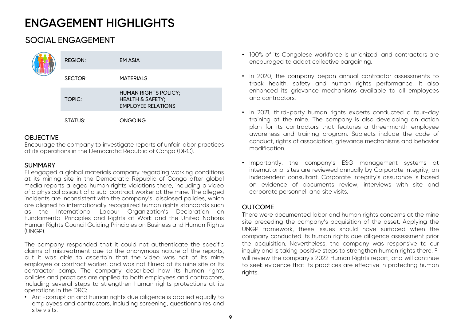# SOCIAL ENGAGEMENT

|  | <b>REGION:</b> | <b>EM ASIA</b>                                                                          |
|--|----------------|-----------------------------------------------------------------------------------------|
|  | SECTOR:        | <b>MATERIALS</b>                                                                        |
|  | TOPIC:         | <b>HUMAN RIGHTS POLICY;</b><br><b>HEALTH &amp; SAFETY;</b><br><b>EMPLOYEE RELATIONS</b> |
|  | STATUS:        | <b>ONGOING</b>                                                                          |

## OBJECTIVE

Encourage the company to investigate reports of unfair labor practices at its operations in the Democratic Republic of Congo (DRC).

## **SUMMARY**

FI engaged <sup>a</sup> global materials company regarding working conditions at its mining site in the Democratic Republic of Congo after global media reports alleged human rights violations there, including <sup>a</sup> video of <sup>a</sup> physical assault of <sup>a</sup> sub-contract worker at the mine. The alleged incidents are inconsistent with the company's disclosed policies, which are aligned to internationally recognized human rights standards such as the International Labour Organization's Declaration on Fundamental Principles and Rights at Work and the United Nations Human Rights Council Guiding Principles on Business and Human Rights (UNGP).

The company responded that it could not authenticate the specific claims of mistreatment due to the anonymous nature of the reports, but it was able to ascertain that the video was not of its mine employee or contract worker, and was not filmed at its mine site or Its contractor camp. The company described how its human rights policies and practices are applied to both employees and contractors, including several steps to strengthen human rights protections at its operations in the DRC:

• Anti-corruption and human rights due diligence is applied equally to employees and contractors, including screening, questionnaires and site visits.

- 100% of its Congolese workforce is unionized, and contractors are encouraged to adopt collective bargaining.
- In 2020, the company began annual contractor assessments to track health, safety and human rights performance. It also enhanced its grievance mechanisms available to all employees and contractors.
- In 2021, third-party human rights experts conducted <sup>a</sup> four-day training at the mine. The company is also developing an action plan for its contractors that features <sup>a</sup> three-month employee awareness and training program. Subjects include the code of conduct, rights of association, grievance mechanisms and behavior modification.
- Importantly, the company's ESG management systems at international sites are reviewed annually by Corporate Integrity, an independent consultant. Corporate Integrity's assurance is based on evidence of documents review, interviews with site and corporate personnel, and site visits.

## **OUTCOME**

There were documented labor and human rights concerns at the mine site preceding the company's acquisition of the asset. Applying the UNGP framework, these issues should have surfaced when the company conducted its human rights due diligence assessment prior the acquisition. Nevertheless, the company was responsive to our inquiry and is taking positive steps to strengthen human rights there. FI will review the company's 2022 Human Rights report, and will continue to seek evidence that its practices are effective in protecting human rights.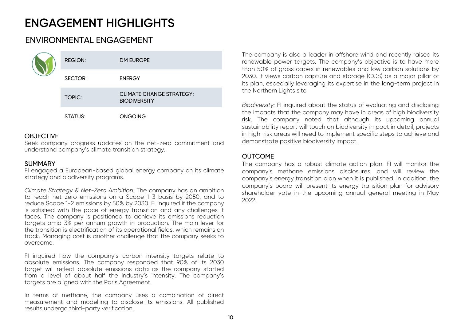# ENVIRONMENTAL ENGAGEMENT

|  | <b>REGION:</b> | <b>DM EUROPE</b>                                       |
|--|----------------|--------------------------------------------------------|
|  | SECTOR:        | <b>ENERGY</b>                                          |
|  | <b>TOPIC:</b>  | <b>CLIMATE CHANGE STRATEGY;</b><br><b>BIODIVERSITY</b> |
|  | STATUS:        | <b>ONGOING</b>                                         |

## **OBJECTIVE**

Seek company progress updates on the net-zero commitment and understand company's climate transition strategy.

### **SUMMARY**

FI engaged <sup>a</sup> European-based global energy company on its climate strategy and biodiversity programs.

*Climate Strategy & Net-Zero Ambition:* The company has an ambition to reach net-zero emissions on <sup>a</sup> Scope 1-3 basis by 2050, and to reduce Scope 1-2 emissions by 50% by 2030. FI inquired if the company is satisfied with the pace of energy transition and any challenges it faces. The company is positioned to achieve its emissions reduction targets amid 3% per annum growth in production. The main lever for the transition is electrification of its operational fields, which remains on track. Managing cost is another challenge that the company seeks to overcome.

FI inquired how the company's carbon intensity targets relate to absolute emissions. The company responded that 90% of its 2030 target will reflect absolute emissions data as the company started from <sup>a</sup> level of about half the industry's intensity. The company's targets are aligned with the Paris Agreement.

In terms of methane, the company uses <sup>a</sup> combination of direct measurement and modelling to disclose its emissions. All published results undergo third-party verification.

The company is also <sup>a</sup> leader in offshore wind and recently raised its renewable power targets. The company's objective is to have more than 50% of gross capex in renewables and low carbon solutions by 2030. It views carbon capture and storage (CCS) as <sup>a</sup> major pillar of its plan, especially leveraging its expertise in the long-term project in the Northern Lights site.

*Biodiversity:* FI inquired about the status of evaluating and disclosing the impacts that the company may have in areas of high biodiversity risk. The company noted that although its upcoming annual sustainability report will touch on biodiversity impact in detail, projects in high-risk areas will need to implement specific steps to achieve and demonstrate positive biodiversity impact.

### OUTCOME

The company has <sup>a</sup> robust climate action plan. FI will monitor the company's methane emissions disclosures, and will review the company's energy transition plan when it is published. In addition, the company's board will present its energy transition plan for advisory shareholder vote in the upcoming annual general meeting in May 2022.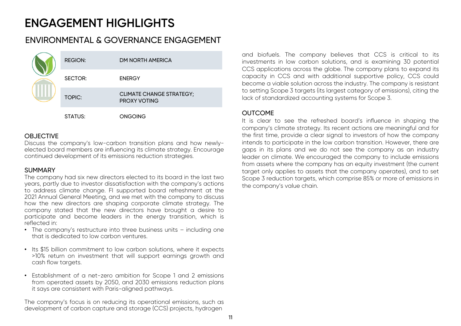## ENVIRONMENTAL & GOVERNANCE ENGAGEMENT

|  | <b>REGION:</b> | DM NORTH AMERICA                                       |
|--|----------------|--------------------------------------------------------|
|  | SECTOR:        | <b>ENERGY</b>                                          |
|  | <b>TOPIC:</b>  | <b>CLIMATE CHANGE STRATEGY;</b><br><b>PROXY VOTING</b> |
|  | STATUS:        | ONGOING                                                |

## **OBJECTIVE**

Discuss the company's low-carbon transition plans and how newlyelected board members are influencing its climate strategy. Encourage continued development of its emissions reduction strategies.

## SUMMARY

The company had six new directors elected to its board in the last two years, partly due to investor dissatisfaction with the company's actions to address climate change. FI supported board refreshment at the 2021 Annual General Meeting, and we met with the company to discuss how the new directors are shaping corporate climate strategy. The company stated that the new directors have brought <sup>a</sup> desire to participate and become leaders in the energy transition, which is reflected in:

- The company's restructure into three business units including one that is dedicated to low carbon ventures.
- Its \$15 billion commitment to low carbon solutions, where it expects >10% return on investment that will support earnings growth and cash flow targets.
- Establishment of <sup>a</sup> net-zero ambition for Scope 1 and 2 emissions from operated assets by 2050, and 2030 emissions reduction plans it says are consistent with Paris-aligned pathways.

The company's focus is on reducing its operational emissions, such as development of carbon capture and storage (CCS) projects, hydrogen

and biofuels. The company believes that CCS is critical to its investments in low carbon solutions, and is examining 30 potential CCS applications across the globe. The company plans to expand its capacity in CCS and with additional supportive policy, CCS could become <sup>a</sup> viable solution across the industry. The company is resistant to setting Scope 3 targets (its largest category of emissions), citing the lack of standardized accounting systems for Scope 3.

## **OUTCOME**

It is clear to see the refreshed board's influence in shaping the company's climate strategy. Its recent actions are meaningful and for the first time, provide <sup>a</sup> clear signal to investors of how the company intends to participate in the low carbon transition. However, there are gaps in its plans and we do not see the company as an industry leader on climate. We encouraged the company to include emissions from assets where the company has an equity investment (the current target only applies to assets that the company operates), and to set Scope 3 reduction targets, which comprise 85% or more of emissions in the company's value chain.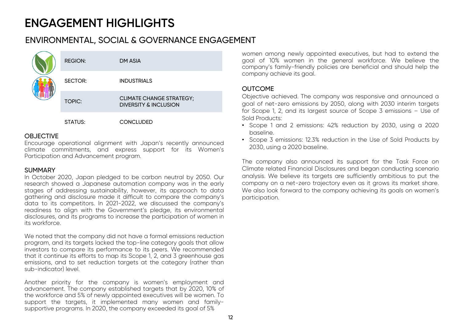## ENVIRONMENTAL, SOCIAL & GOVERNANCE ENGAGEMENT

|  | <b>REGION:</b> | DM ASIA                                                             |
|--|----------------|---------------------------------------------------------------------|
|  | SECTOR:        | <b>INDUSTRIALS</b>                                                  |
|  | <b>TOPIC:</b>  | <b>CLIMATE CHANGE STRATEGY;</b><br><b>DIVERSITY &amp; INCLUSION</b> |
|  | STATUS:        | CONCLUDED                                                           |

### **OBJECTIVE**

Encourage operational alignment with Japan's recently announced climate commitments, and express support for its Women's Participation and Advancement program.

### SUMMARY

In October 2020, Japan pledged to be carbon neutral by 2050. Our research showed <sup>a</sup> Japanese automation company was in the early stages of addressing sustainability, however, its approach to data gathering and disclosure made it difficult to compare the company's data to its competitors. In 2021-2022, we discussed the company's readiness to align with the Government's pledge, its environmental disclosures, and its programs to increase the participation of women in its workforce.

We noted that the company did not have <sup>a</sup> formal emissions reduction program, and its targets lacked the top-line category goals that allow investors to compare its performance to its peers. We recommended that it continue its efforts to map its Scope 1, 2, and 3 greenhouse gas emissions, and to set reduction targets at the category (rather than sub-indicator) level.

Another priority for the company is women's employment and advancement. The company established targets that by 2020, 10% of the workforce and 5% of newly appointed executives will be women. To support the targets, it implemented many women and familysupportive programs. In 2020, the company exceeded its goal of 5%

women among newly appointed executives, but had to extend the goal of 10% women in the general workforce. We believe the company's family-friendly policies are beneficial and should help the company achieve its goal.

## **OUTCOME**

Objective achieved. The company was responsive and announced <sup>a</sup> goal of net-zero emissions by 2050, along with 2030 interim targets for Scope 1, 2, and its largest source of Scope 3 emissions – Use of Sold Products:

- Scope 1 and 2 emissions: 42% reduction by 2030, using <sup>a</sup> 2020 baseline.
- Scope 3 emissions: 12.3% reduction in the Use of Sold Products by 2030, using <sup>a</sup> 2020 baseline.

The company also announced its support for the Task Force on Climate related Financial Disclosures and began conducting scenario analysis. We believe its targets are sufficiently ambitious to put the company on <sup>a</sup> net-zero trajectory even as it grows its market share. We also look forward to the company achieving its goals on women's participation.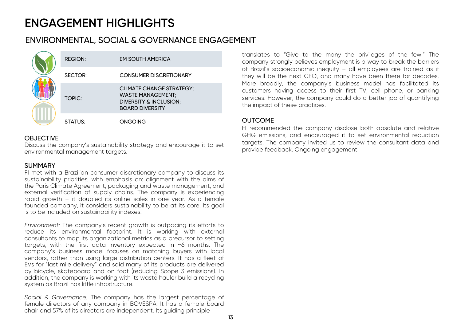# ENVIRONMENTAL, SOCIAL & GOVERNANCE ENGAGEMENT

|  | <b>REGION:</b> | <b>EM SOUTH AMERICA</b>                                                                                                    |
|--|----------------|----------------------------------------------------------------------------------------------------------------------------|
|  | <b>SECTOR:</b> | <b>CONSUMER DISCRETIONARY</b>                                                                                              |
|  | <b>TOPIC:</b>  | <b>CLIMATE CHANGE STRATEGY;</b><br><b>WASTE MANAGEMENT;</b><br><b>DIVERSITY &amp; INCLUSION;</b><br><b>BOARD DIVERSITY</b> |
|  | STATUS:        | <b>ONGOING</b>                                                                                                             |

## **OBJECTIVE**

Discuss the company's sustainability strategy and encourage it to set environmental management targets.

### **SUMMARY**

FI met with <sup>a</sup> Brazilian consumer discretionary company to discuss its sustainability priorities, with emphasis on: alignment with the aims of the Paris Climate Agreement, packaging and waste management, and external verification of supply chains. The company is experiencing rapid growth – it doubled its online sales in one year. As <sup>a</sup> female founded company, it considers sustainability to be at its core. Its goal is to be included on sustainability indexes.

*Environment:* The company's recent growth is outpacing its efforts to reduce its environmental footprint. It is working with external consultants to map its organizational metrics as <sup>a</sup> precursor to setting targets, with the first data inventory expected in ~6 months. The company's business model focuses on matching buyers with local vendors, rather than using large distribution centers. It has <sup>a</sup> fleet of EVs for "last mile delivery" and said many of its products are delivered by bicycle, skateboard and on foot (reducing Scope 3 emissions). In addition, the company is working with its waste hauler build <sup>a</sup> recycling system as Brazil has little infrastructure.

*Social & Governance:* The company has the largest percentage of female directors of any company in BOVESPA. It has <sup>a</sup> female board chair and 57% of its directors are independent. Its guiding principle

translates to "Give to the many the privileges of the few." The company strongly believes employment is <sup>a</sup> way to break the barriers of Brazil's socioeconomic inequity – all employees are trained as if they will be the next CEO, and many have been there for decades. More broadly, the company's business model has facilitated its customers having access to their first TV, cell phone, or banking services. However, the company could do <sup>a</sup> better job of quantifying the impact of these practices.

## OUTCOME

FI recommended the company disclose both absolute and relative GHG emissions, and encouraged it to set environmental reduction targets. The company invited us to review the consultant data and provide feedback. Ongoing engagement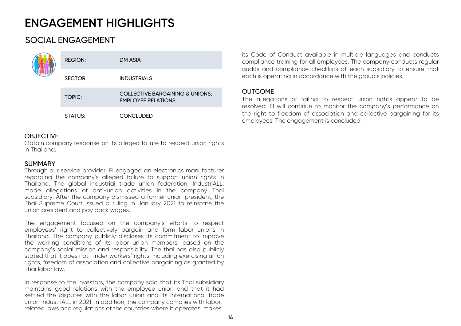# SOCIAL ENGAGEMENT

|  | <b>REGION:</b> | DM ASIA                                                      |
|--|----------------|--------------------------------------------------------------|
|  | SECTOR:        | <b>INDUSTRIALS</b>                                           |
|  | TOPIC:         | COLLECTIVE BARGAINING & UNIONS;<br><b>EMPLOYEE RELATIONS</b> |
|  | STATUS:        | <b>CONCLUDED</b>                                             |

## **OBJECTIVE**

Obtain company response on its alleged failure to respect union rights in Thailand.

#### **SUMMARY**

Through our service provider, FI engaged an electronics manufacturer regarding the company's alleged failure to support union rights in Thailand. The global industrial trade union federation, IndustriALL, made allegations of anti-union activities in the company Thai subsidiary. After the company dismissed <sup>a</sup> former union president, the Thai Supreme Court issued <sup>a</sup> ruling in January 2021 to reinstate the union president and pay back wages.

The engagement focused on the company's efforts to respect employees' right to collectively bargain and form labor unions in Thailand. The company publicly discloses its commitment to improve the working conditions of its labor union members, based on the company's social mission and responsibility. The thai has also publicly stated that it does not hinder workers' rights, including exercising union rights, freedom of association and collective bargaining as granted by Thai labor law.

In response to the investors, the company said that its Thai subsidiary maintains good relations with the employee union and that it had settled the disputes with the labor union and its international trade union IndustriALL in 2021. In addition, the company complies with laborrelated laws and regulations of the countries where it operates, makes

its Code of Conduct available in multiple languages and conducts compliance training for all employees. The company conducts regular audits and compliance checklists at each subsidiary to ensure that each is operating in accordance with the group's policies.

### **OUTCOME**

The allegations of failing to respect union rights appear to be resolved. FI will continue to monitor the company's performance on the right to freedom of association and collective bargaining for its employees. The engagement is concluded.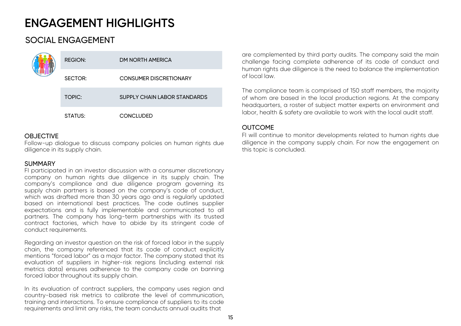# SOCIAL ENGAGEMENT

|  | <b>REGION:</b> | DM NORTH AMERICA                    |
|--|----------------|-------------------------------------|
|  | SECTOR:        | <b>CONSUMER DISCRETIONARY</b>       |
|  | TOPIC:         | <b>SUPPLY CHAIN LABOR STANDARDS</b> |
|  | STATUS:        | <b>CONCLUDED</b>                    |

## **OBJECTIVE**

Follow-up dialogue to discuss company policies on human rights due diligence in its supply chain.

#### **SUMMARY**

FI participated in an investor discussion with <sup>a</sup> consumer discretionary company on human rights due diligence in its supply chain. The company's compliance and due diligence program governing its supply chain partners is based on the company's code of conduct, which was drafted more than 30 years ago and is regularly updated based on international best practices. The code outlines supplier expectations and is fully implementable and communicated to all partners. The company has long-term partnerships with its trusted contract factories, which have to abide by its stringent code of conduct requirements.

Regarding an investor question on the risk of forced labor in the supply chain, the company referenced that its code of conduct explicitly mentions "forced labor" as <sup>a</sup> major factor. The company stated that its evaluation of suppliers in higher-risk regions (including external risk metrics data) ensures adherence to the company code on banning forced labor throughout its supply chain.

In its evaluation of contract suppliers, the company uses region and country-based risk metrics to calibrate the level of communication, training and interactions. To ensure compliance of suppliers to its code requirements and limit any risks, the team conducts annual audits that

are complemented by third party audits. The company said the main challenge facing complete adherence of its code of conduct and human rights due diligence is the need to balance the implementation of local law.

The compliance team is comprised of 150 staff members, the majority of whom are based in the local production regions. At the company headquarters, <sup>a</sup> roster of subject matter experts on environment and labor, health & safety are available to work with the local audit staff.

## **OUTCOME**

FI will continue to monitor developments related to human rights due diligence in the company supply chain. For now the engagement on this topic is concluded.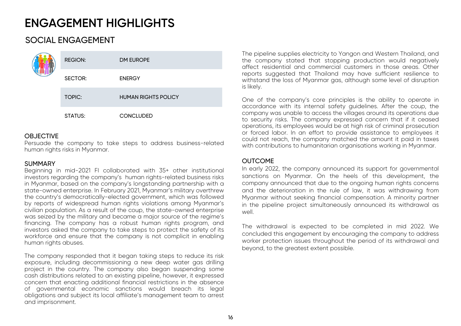# SOCIAL ENGAGEMENT

|  | <b>REGION:</b> | DM EUROPE                  |
|--|----------------|----------------------------|
|  | SECTOR:        | <b>ENERGY</b>              |
|  | <b>TOPIC:</b>  | <b>HUMAN RIGHTS POLICY</b> |
|  | <b>STATUS:</b> | <b>CONCLUDED</b>           |

### **OBJECTIVE**

Persuade the company to take steps to address business-related human rights risks in Myanmar.

### **SUMMARY**

Beginning in mid-2021 FI collaborated with 35+ other institutional investors regarding the company's human rights-related business risks in Myanmar, based on the company's longstanding partnership with <sup>a</sup> state-owned enterprise. In February 2021, Myanmar's military overthrew the country's democratically-elected government, which was followed by reports of widespread human rights violations among Myanmar's civilian population. As <sup>a</sup> result of the coup, the state-owned enterprise was seized by the military and became <sup>a</sup> major source of the regime's financing. The company has <sup>a</sup> robust human rights program, and investors asked the company to take steps to protect the safety of its workforce and ensure that the company is not complicit in enabling human rights abuses.

The company responded that it began taking steps to reduce its risk exposure, including decommissioning <sup>a</sup> new deep water gas drilling project in the country. The company also began suspending some cash distributions related to an existing pipeline, however, it expressed concern that enacting additional financial restrictions in the absence of governmental economic sanctions would breach its legal obligations and subject its local affiliate's management team to arrest and imprisonment.

The pipeline supplies electricity to Yangon and Western Thailand, and the company stated that stopping production would negatively affect residential and commercial customers in those areas. Otherreports suggested that Thailand may have sufficient resilience to withstand the loss of Myanmar gas, although some level of disruption is likely.

One of the company's core principles is the ability to operate in accordance with its internal safety guidelines. After the coup, the company was unable to access the villages around its operations due to security risks. The company expressed concern that if it ceased operations, its employees would be at high risk of criminal prosecution or forced labor. In an effort to provide assistance to employees it could not reach, the company matched the amount it paid in taxes with contributions to humanitarian organisations working in Myanmar.

## OUTCOME

In early 2022, the company announced its support for governmental sanctions on Myanmar. On the heels of this development, the company announced that due to the ongoing human rights concerns and the deterioration in the rule of law, it was withdrawing from Myanmar without seeking financial compensation. A minority partner in the pipeline project simultaneously announced its withdrawal as well.

The withdrawal is expected to be completed in mid 2022. We concluded this engagement by encouraging the company to address worker protection issues throughout the period of its withdrawal and beyond, to the greatest extent possible.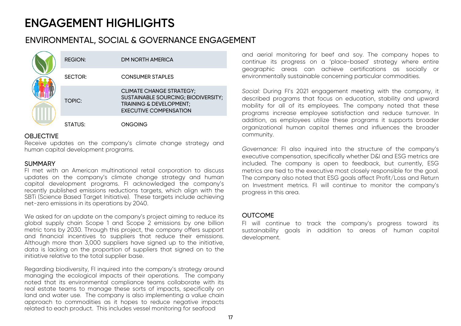## ENVIRONMENTAL, SOCIAL & GOVERNANCE ENGAGEMENT

|  | <b>REGION:</b> | DM NORTH AMERICA                                                                                                                              |
|--|----------------|-----------------------------------------------------------------------------------------------------------------------------------------------|
|  | SECTOR:        | <b>CONSUMER STAPLES</b>                                                                                                                       |
|  | TOPIC:         | <b>CLIMATE CHANGE STRATEGY;</b><br>SUSTAINABLE SOURCING; BIODIVERSITY;<br><b>TRAINING &amp; DEVELOPMENT;</b><br><b>EXECUTIVE COMPENSATION</b> |
|  | STATUS:        | <b>ONGOING</b>                                                                                                                                |

### **OBJECTIVE**

Receive updates on the company's climate change strategy and human capital development programs.

#### **SUMMARY**

FI met with an American multinational retail corporation to discuss updates on the company's climate change strategy and human capital development programs. FI acknowledged the company's recently published emissions reductions targets, which align with the SBTi (Science Based Target Initiative). These targets include achieving net-zero emissions in its operations by 2040.

We asked for an update on the company's project aiming to reduce its global supply chain Scope 1 and Scope 2 emissions by one billion metric tons by 2030. Through this project, the company offers support and financial incentives to suppliers that reduce their emissions. Although more than 3,000 suppliers have signed up to the initiative, data is lacking on the proportion of suppliers that signed on to the initiative relative to the total supplier base.

Regarding biodiversity, FI inquired into the company's strategy around managing the ecological impacts of their operations. The company noted that its environmental compliance teams collaborate with its real estate teams to manage these sorts of impacts, specifically on land and water use. The company is also implementing <sup>a</sup> value chain approach to commodities as it hopes to reduce negative impacts related to each product. This includes vessel monitoring for seafood

and aerial monitoring for beef and soy. The company hopes to continue its progress on <sup>a</sup> 'place-based' strategy where entire geographic areas can achieve certifications as socially or environmentally sustainable concerning particular commodities.

*Social:* During FI's 2021 engagement meeting with the company, it described programs that focus on education, stability and upward mobility for all of its employees. The company noted that these programs increase employee satisfaction and reduce turnover. In addition, as employees utilize these programs it supports broader organizational human capital themes and influences the broader community.

*Governance:* FI also inquired into the structure of the company's executive compensation, specifically whether D&I and ESG metrics are included. The company is open to feedback, but currently, ESG metrics are tied to the executive most closely responsible for the goal. The company also noted that ESG goals affect Profit/Loss and Return on Investment metrics. FI will continue to monitor the company's progress in this area.

### **OUTCOME**

FI will continue to track the company's progress toward its sustainability goals in addition to areas of human capital development.